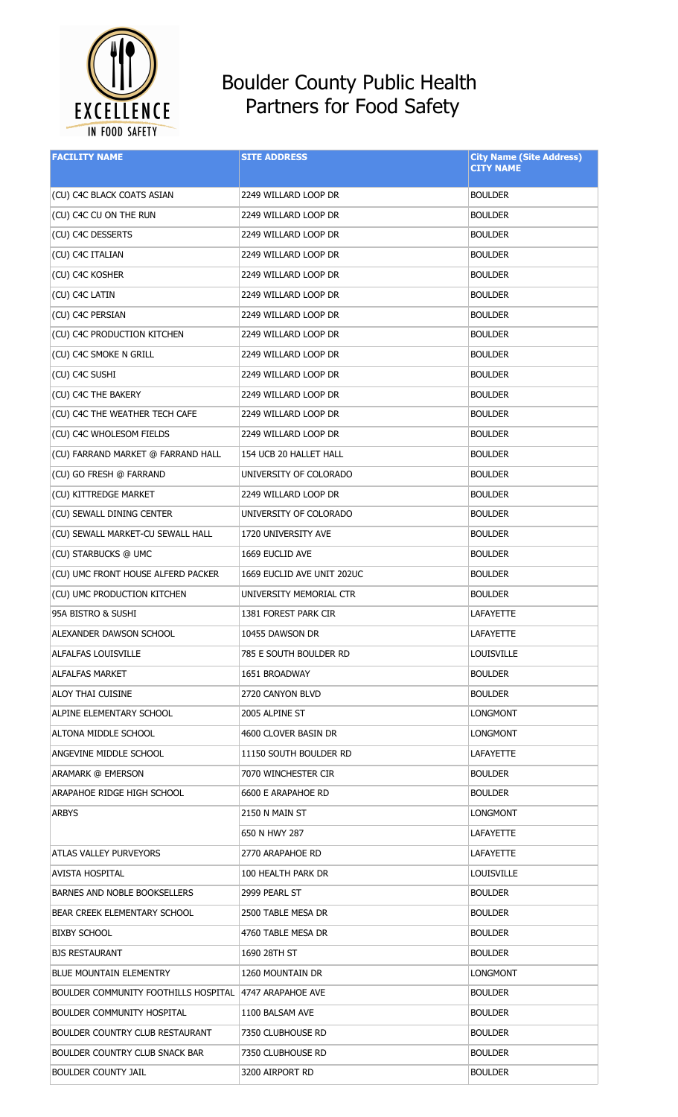

## Boulder County Public Health Partners for Food Safety

| <b>FACILITY NAME</b>                                   | <b>SITE ADDRESS</b>        | <b>City Name (Site Address)</b><br><b>CITY NAME</b> |
|--------------------------------------------------------|----------------------------|-----------------------------------------------------|
| (CU) C4C BLACK COATS ASIAN                             | 2249 WILLARD LOOP DR       | <b>BOULDER</b>                                      |
| (CU) C4C CU ON THE RUN                                 | 2249 WILLARD LOOP DR       | <b>BOULDER</b>                                      |
| (CU) C4C DESSERTS                                      | 2249 WILLARD LOOP DR       | <b>BOULDER</b>                                      |
| (CU) C4C ITALIAN                                       | 2249 WILLARD LOOP DR       | <b>BOULDER</b>                                      |
| (CU) C4C KOSHER                                        | 2249 WILLARD LOOP DR       | <b>BOULDER</b>                                      |
| (CU) C4C LATIN                                         | 2249 WILLARD LOOP DR       | <b>BOULDER</b>                                      |
| (CU) C4C PERSIAN                                       | 2249 WILLARD LOOP DR       | <b>BOULDER</b>                                      |
| (CU) C4C PRODUCTION KITCHEN                            | 2249 WILLARD LOOP DR       | <b>BOULDER</b>                                      |
| (CU) C4C SMOKE N GRILL                                 | 2249 WILLARD LOOP DR       | <b>BOULDER</b>                                      |
| (CU) C4C SUSHI                                         | 2249 WILLARD LOOP DR       | <b>BOULDER</b>                                      |
| (CU) C4C THE BAKERY                                    | 2249 WILLARD LOOP DR       | <b>BOULDER</b>                                      |
| (CU) C4C THE WEATHER TECH CAFE                         | 2249 WILLARD LOOP DR       | <b>BOULDER</b>                                      |
| (CU) C4C WHOLESOM FIELDS                               | 2249 WILLARD LOOP DR       | <b>BOULDER</b>                                      |
| (CU) FARRAND MARKET @ FARRAND HALL                     | 154 UCB 20 HALLET HALL     | <b>BOULDER</b>                                      |
| (CU) GO FRESH @ FARRAND                                | UNIVERSITY OF COLORADO     | <b>BOULDER</b>                                      |
| (CU) KITTREDGE MARKET                                  | 2249 WILLARD LOOP DR       | <b>BOULDER</b>                                      |
| (CU) SEWALL DINING CENTER                              | UNIVERSITY OF COLORADO     | <b>BOULDER</b>                                      |
| (CU) SEWALL MARKET-CU SEWALL HALL                      | 1720 UNIVERSITY AVE        | <b>BOULDER</b>                                      |
| (CU) STARBUCKS @ UMC                                   | 1669 EUCLID AVE            | <b>BOULDER</b>                                      |
| (CU) UMC FRONT HOUSE ALFERD PACKER                     | 1669 EUCLID AVE UNIT 202UC | <b>BOULDER</b>                                      |
| (CU) UMC PRODUCTION KITCHEN                            | UNIVERSITY MEMORIAL CTR    | <b>BOULDER</b>                                      |
| 95A BISTRO & SUSHI                                     | 1381 FOREST PARK CIR       | LAFAYETTE                                           |
| ALEXANDER DAWSON SCHOOL                                | 10455 DAWSON DR            | <b>LAFAYETTE</b>                                    |
| ALFALFAS LOUISVILLE                                    | 785 E SOUTH BOULDER RD     | <b>LOUISVILLE</b>                                   |
| <b>ALFALFAS MARKET</b>                                 | 1651 BROADWAY              | <b>BOULDER</b>                                      |
| ALOY THAI CUISINE                                      | 2720 CANYON BLVD           | <b>BOULDER</b>                                      |
| ALPINE ELEMENTARY SCHOOL                               | 2005 ALPINE ST             | LONGMONT                                            |
| ALTONA MIDDLE SCHOOL                                   | 4600 CLOVER BASIN DR       | LONGMONT                                            |
| ANGEVINE MIDDLE SCHOOL                                 | 11150 SOUTH BOULDER RD     | <b>LAFAYETTE</b>                                    |
| ARAMARK @ EMERSON                                      | 7070 WINCHESTER CIR        | <b>BOULDER</b>                                      |
| ARAPAHOE RIDGE HIGH SCHOOL                             | 6600 E ARAPAHOE RD         | <b>BOULDER</b>                                      |
| <b>ARBYS</b>                                           | 2150 N MAIN ST             | LONGMONT                                            |
|                                                        | 650 N HWY 287              | LAFAYETTE                                           |
| ATLAS VALLEY PURVEYORS                                 | 2770 ARAPAHOE RD           | LAFAYETTE                                           |
| AVISTA HOSPITAL                                        | 100 HEALTH PARK DR         | LOUISVILLE                                          |
| BARNES AND NOBLE BOOKSELLERS                           | 2999 PEARL ST              | <b>BOULDER</b>                                      |
| BEAR CREEK ELEMENTARY SCHOOL                           | 2500 TABLE MESA DR         | <b>BOULDER</b>                                      |
| <b>BIXBY SCHOOL</b>                                    | 4760 TABLE MESA DR         | <b>BOULDER</b>                                      |
| <b>BJS RESTAURANT</b>                                  | 1690 28TH ST               | <b>BOULDER</b>                                      |
| <b>BLUE MOUNTAIN ELEMENTRY</b>                         | 1260 MOUNTAIN DR           | LONGMONT                                            |
| BOULDER COMMUNITY FOOTHILLS HOSPITAL 4747 ARAPAHOE AVE |                            | <b>BOULDER</b>                                      |
| BOULDER COMMUNITY HOSPITAL                             | 1100 BALSAM AVE            | <b>BOULDER</b>                                      |
| BOULDER COUNTRY CLUB RESTAURANT                        | 7350 CLUBHOUSE RD          | <b>BOULDER</b>                                      |
| <b>BOULDER COUNTRY CLUB SNACK BAR</b>                  | 7350 CLUBHOUSE RD          | <b>BOULDER</b>                                      |
| <b>BOULDER COUNTY JAIL</b>                             | 3200 AIRPORT RD            | <b>BOULDER</b>                                      |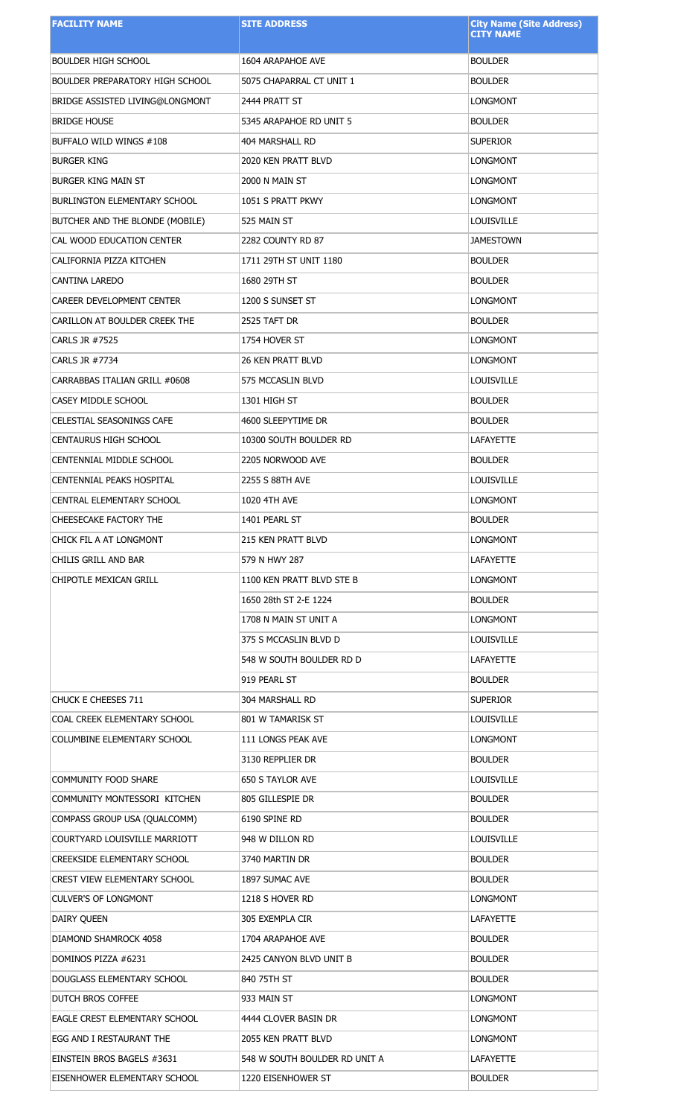| <b>FACILITY NAME</b>                   | <b>SITE ADDRESS</b>           | <b>City Name (Site Address)</b><br><b>CITY NAME</b> |
|----------------------------------------|-------------------------------|-----------------------------------------------------|
|                                        |                               |                                                     |
| <b>BOULDER HIGH SCHOOL</b>             | 1604 ARAPAHOE AVE             | <b>BOULDER</b>                                      |
| <b>BOULDER PREPARATORY HIGH SCHOOL</b> | 5075 CHAPARRAL CT UNIT 1      | <b>BOULDER</b>                                      |
| BRIDGE ASSISTED LIVING@LONGMONT        | 2444 PRATT ST                 | <b>LONGMONT</b>                                     |
| <b>BRIDGE HOUSE</b>                    | 5345 ARAPAHOE RD UNIT 5       | <b>BOULDER</b>                                      |
| BUFFALO WILD WINGS #108                | 404 MARSHALL RD               | <b>SUPERIOR</b>                                     |
| <b>BURGER KING</b>                     | 2020 KEN PRATT BLVD           | <b>LONGMONT</b>                                     |
| <b>BURGER KING MAIN ST</b>             | 2000 N MAIN ST                | <b>LONGMONT</b>                                     |
| <b>BURLINGTON ELEMENTARY SCHOOL</b>    | 1051 S PRATT PKWY             | <b>LONGMONT</b>                                     |
| BUTCHER AND THE BLONDE (MOBILE)        | 525 MAIN ST                   | <b>LOUISVILLE</b>                                   |
| CAL WOOD EDUCATION CENTER              | 2282 COUNTY RD 87             | <b>JAMESTOWN</b>                                    |
| CALIFORNIA PIZZA KITCHEN               | 1711 29TH ST UNIT 1180        | <b>BOULDER</b>                                      |
| CANTINA LAREDO                         | 1680 29TH ST                  | <b>BOULDER</b>                                      |
| CAREER DEVELOPMENT CENTER              | 1200 S SUNSET ST              | <b>LONGMONT</b>                                     |
| CARILLON AT BOULDER CREEK THE          | 2525 TAFT DR                  | <b>BOULDER</b>                                      |
| CARLS JR #7525                         | 1754 HOVER ST                 | <b>LONGMONT</b>                                     |
| CARLS JR #7734                         | <b>26 KEN PRATT BLVD</b>      | <b>LONGMONT</b>                                     |
| CARRABBAS ITALIAN GRILL #0608          | 575 MCCASLIN BLVD             | <b>LOUISVILLE</b>                                   |
| CASEY MIDDLE SCHOOL                    | 1301 HIGH ST                  | <b>BOULDER</b>                                      |
| <b>CELESTIAL SEASONINGS CAFE</b>       | 4600 SLEEPYTIME DR            | <b>BOULDER</b>                                      |
| <b>CENTAURUS HIGH SCHOOL</b>           | 10300 SOUTH BOULDER RD        | <b>LAFAYETTE</b>                                    |
| CENTENNIAL MIDDLE SCHOOL               | 2205 NORWOOD AVE              | <b>BOULDER</b>                                      |
| CENTENNIAL PEAKS HOSPITAL              | 2255 S 88TH AVE               | <b>LOUISVILLE</b>                                   |
| CENTRAL ELEMENTARY SCHOOL              | 1020 4TH AVE                  | <b>LONGMONT</b>                                     |
| CHEESECAKE FACTORY THE                 | 1401 PEARL ST                 | <b>BOULDER</b>                                      |
| CHICK FIL A AT LONGMONT                | <b>215 KEN PRATT BLVD</b>     | <b>LONGMONT</b>                                     |
| CHILIS GRILL AND BAR                   | 579 N HWY 287                 | <b>LAFAYETTE</b>                                    |
| <b>CHIPOTLE MEXICAN GRILL</b>          | 1100 KEN PRATT BLVD STE B     | <b>LONGMONT</b>                                     |
|                                        | 1650 28th ST 2-E 1224         | <b>BOULDER</b>                                      |
|                                        | 1708 N MAIN ST UNIT A         | <b>LONGMONT</b>                                     |
|                                        | 375 S MCCASLIN BLVD D         | <b>LOUISVILLE</b>                                   |
|                                        | 548 W SOUTH BOULDER RD D      | <b>LAFAYETTE</b>                                    |
|                                        | 919 PEARL ST                  | <b>BOULDER</b>                                      |
| CHUCK E CHEESES 711                    | 304 MARSHALL RD               | <b>SUPERIOR</b>                                     |
| COAL CREEK ELEMENTARY SCHOOL           | 801 W TAMARISK ST             | <b>LOUISVILLE</b>                                   |
| COLUMBINE ELEMENTARY SCHOOL            | 111 LONGS PEAK AVE            | <b>LONGMONT</b>                                     |
|                                        | 3130 REPPLIER DR              | <b>BOULDER</b>                                      |
| COMMUNITY FOOD SHARE                   | 650 S TAYLOR AVE              | <b>LOUISVILLE</b>                                   |
| COMMUNITY MONTESSORI KITCHEN           | 805 GILLESPIE DR              | <b>BOULDER</b>                                      |
| COMPASS GROUP USA (QUALCOMM)           | 6190 SPINE RD                 | <b>BOULDER</b>                                      |
| COURTYARD LOUISVILLE MARRIOTT          | 948 W DILLON RD               | <b>LOUISVILLE</b>                                   |
| <b>CREEKSIDE ELEMENTARY SCHOOL</b>     | 3740 MARTIN DR                | <b>BOULDER</b>                                      |
| <b>CREST VIEW ELEMENTARY SCHOOL</b>    | 1897 SUMAC AVE                | <b>BOULDER</b>                                      |
| <b>CULVER'S OF LONGMONT</b>            | 1218 S HOVER RD               | <b>LONGMONT</b>                                     |
| DAIRY QUEEN                            | 305 EXEMPLA CIR               | LAFAYETTE                                           |
| DIAMOND SHAMROCK 4058                  | 1704 ARAPAHOE AVE             | <b>BOULDER</b>                                      |
| DOMINOS PIZZA #6231                    | 2425 CANYON BLVD UNIT B       | <b>BOULDER</b>                                      |
| DOUGLASS ELEMENTARY SCHOOL             | 840 75TH ST                   | <b>BOULDER</b>                                      |
| DUTCH BROS COFFEE                      | 933 MAIN ST                   | <b>LONGMONT</b>                                     |
| EAGLE CREST ELEMENTARY SCHOOL          | 4444 CLOVER BASIN DR          | <b>LONGMONT</b>                                     |
| EGG AND I RESTAURANT THE               | 2055 KEN PRATT BLVD           | <b>LONGMONT</b>                                     |
| EINSTEIN BROS BAGELS #3631             | 548 W SOUTH BOULDER RD UNIT A | LAFAYETTE                                           |
| EISENHOWER ELEMENTARY SCHOOL           | 1220 EISENHOWER ST            | <b>BOULDER</b>                                      |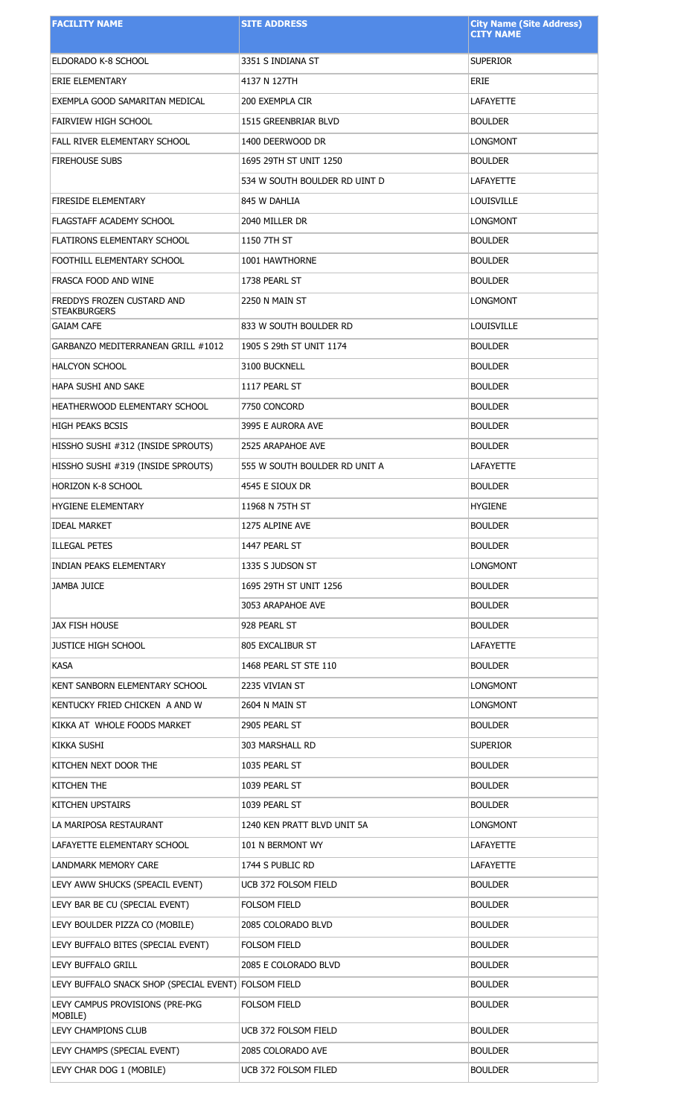| <b>FACILITY NAME</b>                                 | <b>SITE ADDRESS</b>           | <b>City Name (Site Address)</b><br><b>CITY NAME</b> |
|------------------------------------------------------|-------------------------------|-----------------------------------------------------|
|                                                      |                               |                                                     |
| ELDORADO K-8 SCHOOL                                  | 3351 S INDIANA ST             | <b>SUPERIOR</b>                                     |
| ERIE ELEMENTARY                                      | 4137 N 127TH                  | ERIE                                                |
| EXEMPLA GOOD SAMARITAN MEDICAL                       | 200 EXEMPLA CIR               | <b>LAFAYETTE</b>                                    |
| FAIRVIEW HIGH SCHOOL                                 | 1515 GREENBRIAR BLVD          | <b>BOULDER</b>                                      |
| FALL RIVER ELEMENTARY SCHOOL                         | 1400 DEERWOOD DR              | <b>LONGMONT</b>                                     |
| <b>FIREHOUSE SUBS</b>                                | 1695 29TH ST UNIT 1250        | <b>BOULDER</b>                                      |
|                                                      | 534 W SOUTH BOULDER RD UINT D | <b>LAFAYETTE</b>                                    |
| <b>FIRESIDE ELEMENTARY</b>                           | 845 W DAHLIA                  | <b>LOUISVILLE</b>                                   |
| FLAGSTAFF ACADEMY SCHOOL                             | 2040 MILLER DR                | LONGMONT                                            |
| <b>FLATIRONS ELEMENTARY SCHOOL</b>                   | 1150 7TH ST                   | <b>BOULDER</b>                                      |
| FOOTHILL ELEMENTARY SCHOOL                           | 1001 HAWTHORNE                | <b>BOULDER</b>                                      |
| FRASCA FOOD AND WINE                                 | 1738 PEARL ST                 | <b>BOULDER</b>                                      |
| FREDDYS FROZEN CUSTARD AND<br><b>STEAKBURGERS</b>    | 2250 N MAIN ST                | <b>LONGMONT</b>                                     |
| <b>GAIAM CAFE</b>                                    | 833 W SOUTH BOULDER RD        | <b>LOUISVILLE</b>                                   |
| GARBANZO MEDITERRANEAN GRILL #1012                   | 1905 S 29th ST UNIT 1174      | <b>BOULDER</b>                                      |
| <b>HALCYON SCHOOL</b>                                | 3100 BUCKNELL                 | <b>BOULDER</b>                                      |
| HAPA SUSHI AND SAKE                                  | 1117 PEARL ST                 | <b>BOULDER</b>                                      |
| HEATHERWOOD ELEMENTARY SCHOOL                        | 7750 CONCORD                  | <b>BOULDER</b>                                      |
| <b>HIGH PEAKS BCSIS</b>                              | 3995 E AURORA AVE             | <b>BOULDER</b>                                      |
| HISSHO SUSHI #312 (INSIDE SPROUTS)                   | 2525 ARAPAHOE AVE             | <b>BOULDER</b>                                      |
| HISSHO SUSHI #319 (INSIDE SPROUTS)                   | 555 W SOUTH BOULDER RD UNIT A | <b>LAFAYETTE</b>                                    |
| <b>HORIZON K-8 SCHOOL</b>                            | 4545 E SIOUX DR               | <b>BOULDER</b>                                      |
| HYGIENE ELEMENTARY                                   | 11968 N 75TH ST               | <b>HYGIENE</b>                                      |
| <b>IDEAL MARKET</b>                                  | 1275 ALPINE AVE               | <b>BOULDER</b>                                      |
| <b>ILLEGAL PETES</b>                                 | 1447 PEARL ST                 | <b>BOULDER</b>                                      |
| INDIAN PEAKS ELEMENTARY                              | 1335 S JUDSON ST              | <b>LONGMONT</b>                                     |
| JAMBA JUICE                                          | 1695 29TH ST UNIT 1256        | <b>BOULDER</b>                                      |
|                                                      | 3053 ARAPAHOE AVE             | <b>BOULDER</b>                                      |
| <b>JAX FISH HOUSE</b>                                | 928 PEARL ST                  | <b>BOULDER</b>                                      |
| <b>JUSTICE HIGH SCHOOL</b>                           | 805 EXCALIBUR ST              | LAFAYETTE                                           |
| <b>KASA</b>                                          | 1468 PEARL ST STE 110         | <b>BOULDER</b>                                      |
| KENT SANBORN ELEMENTARY SCHOOL                       | 2235 VIVIAN ST                | LONGMONT                                            |
| KENTUCKY FRIED CHICKEN A AND W                       | 2604 N MAIN ST                | LONGMONT                                            |
| KIKKA AT WHOLE FOODS MARKET                          | 2905 PEARL ST                 | <b>BOULDER</b>                                      |
| KIKKA SUSHI                                          | 303 MARSHALL RD               | <b>SUPERIOR</b>                                     |
| KITCHEN NEXT DOOR THE                                | 1035 PEARL ST                 | <b>BOULDER</b>                                      |
| KITCHEN THE                                          | 1039 PEARL ST                 | <b>BOULDER</b>                                      |
| KITCHEN UPSTAIRS                                     | 1039 PEARL ST                 | <b>BOULDER</b>                                      |
| LA MARIPOSA RESTAURANT                               | 1240 KEN PRATT BLVD UNIT 5A   | LONGMONT                                            |
| LAFAYETTE ELEMENTARY SCHOOL                          | 101 N BERMONT WY              | LAFAYETTE                                           |
| LANDMARK MEMORY CARE                                 | 1744 S PUBLIC RD              | LAFAYETTE                                           |
| LEVY AWW SHUCKS (SPEACIL EVENT)                      | UCB 372 FOLSOM FIELD          | <b>BOULDER</b>                                      |
| LEVY BAR BE CU (SPECIAL EVENT)                       | FOLSOM FIELD                  | <b>BOULDER</b>                                      |
| LEVY BOULDER PIZZA CO (MOBILE)                       | 2085 COLORADO BLVD            | <b>BOULDER</b>                                      |
| LEVY BUFFALO BITES (SPECIAL EVENT)                   | FOLSOM FIELD                  | <b>BOULDER</b>                                      |
| LEVY BUFFALO GRILL                                   | 2085 E COLORADO BLVD          | <b>BOULDER</b>                                      |
| LEVY BUFFALO SNACK SHOP (SPECIAL EVENT) FOLSOM FIELD |                               | <b>BOULDER</b>                                      |
| LEVY CAMPUS PROVISIONS (PRE-PKG                      | FOLSOM FIELD                  | <b>BOULDER</b>                                      |
| MOBILE)                                              |                               |                                                     |
| LEVY CHAMPIONS CLUB                                  | UCB 372 FOLSOM FIELD          | <b>BOULDER</b>                                      |
| LEVY CHAMPS (SPECIAL EVENT)                          | 2085 COLORADO AVE             | <b>BOULDER</b>                                      |
| LEVY CHAR DOG 1 (MOBILE)                             | UCB 372 FOLSOM FILED          | <b>BOULDER</b>                                      |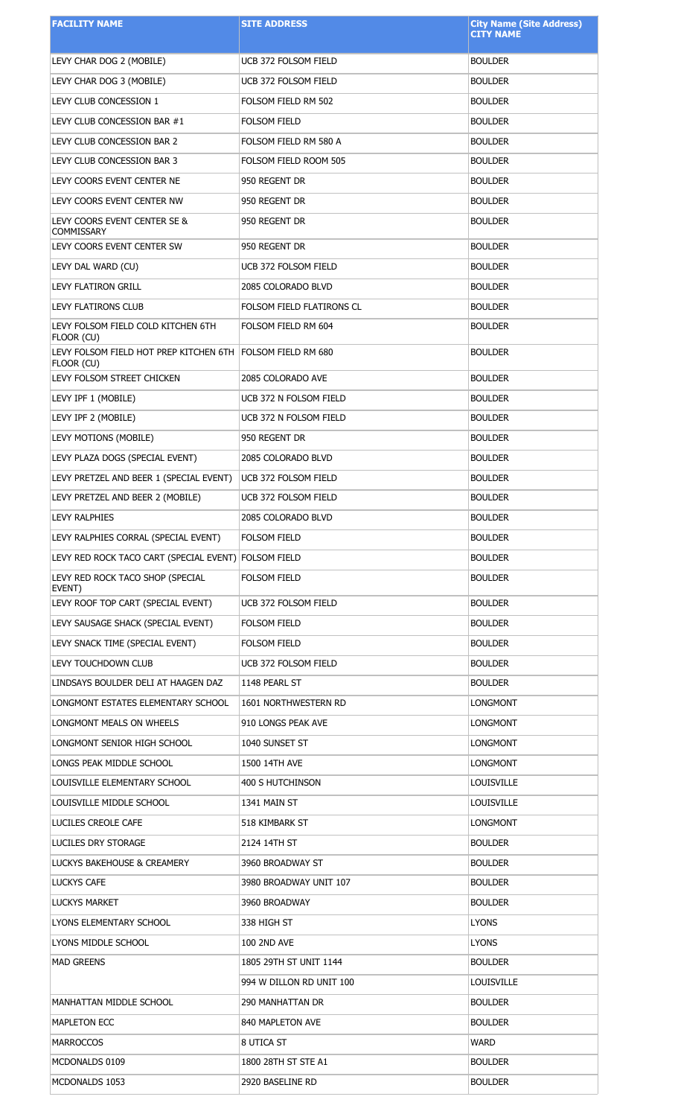| <b>FACILITY NAME</b>                                 | <b>SITE ADDRESS</b>       | <b>City Name (Site Address)</b><br><b>CITY NAME</b> |
|------------------------------------------------------|---------------------------|-----------------------------------------------------|
| LEVY CHAR DOG 2 (MOBILE)                             | UCB 372 FOLSOM FIELD      | <b>BOULDER</b>                                      |
| LEVY CHAR DOG 3 (MOBILE)                             | UCB 372 FOLSOM FIELD      | <b>BOULDER</b>                                      |
| LEVY CLUB CONCESSION 1                               | FOLSOM FIELD RM 502       | <b>BOULDER</b>                                      |
| LEVY CLUB CONCESSION BAR #1                          | <b>FOLSOM FIELD</b>       | <b>BOULDER</b>                                      |
| LEVY CLUB CONCESSION BAR 2                           | FOLSOM FIELD RM 580 A     | <b>BOULDER</b>                                      |
| LEVY CLUB CONCESSION BAR 3                           | FOLSOM FIELD ROOM 505     | <b>BOULDER</b>                                      |
| LEVY COORS EVENT CENTER NE                           | 950 REGENT DR             | <b>BOULDER</b>                                      |
| LEVY COORS EVENT CENTER NW                           | 950 REGENT DR             | <b>BOULDER</b>                                      |
| LEVY COORS EVENT CENTER SE &<br>COMMISSARY           | 950 REGENT DR             | <b>BOULDER</b>                                      |
| LEVY COORS EVENT CENTER SW                           | 950 REGENT DR             | <b>BOULDER</b>                                      |
| LEVY DAL WARD (CU)                                   | UCB 372 FOLSOM FIELD      | <b>BOULDER</b>                                      |
| <b>LEVY FLATIRON GRILL</b>                           | 2085 COLORADO BLVD        | <b>BOULDER</b>                                      |
| LEVY FLATIRONS CLUB                                  | FOLSOM FIELD FLATIRONS CL | <b>BOULDER</b>                                      |
| LEVY FOLSOM FIELD COLD KITCHEN 6TH<br>FLOOR (CU)     | FOLSOM FIELD RM 604       | <b>BOULDER</b>                                      |
| LEVY FOLSOM FIELD HOT PREP KITCHEN 6TH<br>FLOOR (CU) | FOLSOM FIELD RM 680       | <b>BOULDER</b>                                      |
| LEVY FOLSOM STREET CHICKEN                           | 2085 COLORADO AVE         | <b>BOULDER</b>                                      |
| LEVY IPF 1 (MOBILE)                                  | UCB 372 N FOLSOM FIELD    | <b>BOULDER</b>                                      |
| LEVY IPF 2 (MOBILE)                                  | UCB 372 N FOLSOM FIELD    | <b>BOULDER</b>                                      |
| LEVY MOTIONS (MOBILE)                                | 950 REGENT DR             | <b>BOULDER</b>                                      |
| LEVY PLAZA DOGS (SPECIAL EVENT)                      | 2085 COLORADO BLVD        | <b>BOULDER</b>                                      |
| LEVY PRETZEL AND BEER 1 (SPECIAL EVENT)              | UCB 372 FOLSOM FIELD      | <b>BOULDER</b>                                      |
| LEVY PRETZEL AND BEER 2 (MOBILE)                     | UCB 372 FOLSOM FIELD      | <b>BOULDER</b>                                      |
| LEVY RALPHIES                                        | 2085 COLORADO BLVD        | <b>BOULDER</b>                                      |
| LEVY RALPHIES CORRAL (SPECIAL EVENT)                 | FOLSOM FIELD              | <b>BOULDER</b>                                      |
| LEVY RED ROCK TACO CART (SPECIAL EVENT) FOLSOM FIELD |                           | <b>BOULDER</b>                                      |
| LEVY RED ROCK TACO SHOP (SPECIAL<br>EVENT)           | FOLSOM FIELD              | <b>BOULDER</b>                                      |
| LEVY ROOF TOP CART (SPECIAL EVENT)                   | UCB 372 FOLSOM FIELD      | <b>BOULDER</b>                                      |
| LEVY SAUSAGE SHACK (SPECIAL EVENT)                   | <b>FOLSOM FIELD</b>       | <b>BOULDER</b>                                      |
| LEVY SNACK TIME (SPECIAL EVENT)                      | FOLSOM FIELD              | <b>BOULDER</b>                                      |
| LEVY TOUCHDOWN CLUB                                  | UCB 372 FOLSOM FIELD      | <b>BOULDER</b>                                      |
| LINDSAYS BOULDER DELI AT HAAGEN DAZ                  | 1148 PEARL ST             | <b>BOULDER</b>                                      |
| LONGMONT ESTATES ELEMENTARY SCHOOL                   | 1601 NORTHWESTERN RD      | LONGMONT                                            |
| LONGMONT MEALS ON WHEELS                             | 910 LONGS PEAK AVE        | LONGMONT                                            |
| LONGMONT SENIOR HIGH SCHOOL                          | 1040 SUNSET ST            | LONGMONT                                            |
| LONGS PEAK MIDDLE SCHOOL                             | 1500 14TH AVE             | LONGMONT                                            |
| LOUISVILLE ELEMENTARY SCHOOL                         | 400 S HUTCHINSON          | LOUISVILLE                                          |
| LOUISVILLE MIDDLE SCHOOL                             | 1341 MAIN ST              | LOUISVILLE                                          |
| LUCILES CREOLE CAFE                                  | 518 KIMBARK ST            | LONGMONT                                            |
| LUCILES DRY STORAGE                                  | 2124 14TH ST              | <b>BOULDER</b>                                      |
| LUCKYS BAKEHOUSE & CREAMERY                          | 3960 BROADWAY ST          | <b>BOULDER</b>                                      |
| LUCKYS CAFE                                          | 3980 BROADWAY UNIT 107    | <b>BOULDER</b>                                      |
| <b>LUCKYS MARKET</b>                                 | 3960 BROADWAY             | <b>BOULDER</b>                                      |
| LYONS ELEMENTARY SCHOOL                              | 338 HIGH ST               | <b>LYONS</b>                                        |
| LYONS MIDDLE SCHOOL                                  | <b>100 2ND AVE</b>        | <b>LYONS</b>                                        |
| <b>MAD GREENS</b>                                    | 1805 29TH ST UNIT 1144    | <b>BOULDER</b>                                      |
|                                                      | 994 W DILLON RD UNIT 100  | LOUISVILLE                                          |
| MANHATTAN MIDDLE SCHOOL                              | 290 MANHATTAN DR          | <b>BOULDER</b>                                      |
| MAPLETON ECC                                         | 840 MAPLETON AVE          | <b>BOULDER</b>                                      |
| <b>MARROCCOS</b>                                     | 8 UTICA ST                | WARD                                                |
| MCDONALDS 0109                                       | 1800 28TH ST STE A1       | <b>BOULDER</b>                                      |
| MCDONALDS 1053                                       | 2920 BASELINE RD          | <b>BOULDER</b>                                      |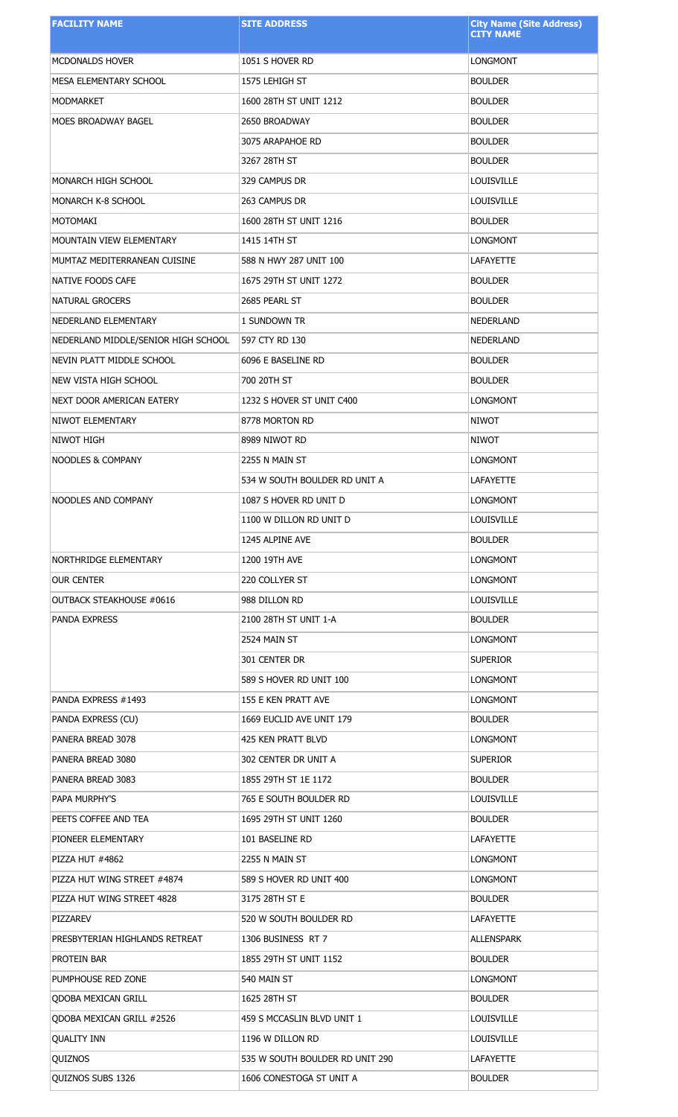| <b>FACILITY NAME</b>                | <b>SITE ADDRESS</b>             | <b>City Name (Site Address)</b><br><b>CITY NAME</b> |
|-------------------------------------|---------------------------------|-----------------------------------------------------|
|                                     |                                 |                                                     |
| <b>MCDONALDS HOVER</b>              | 1051 S HOVER RD                 | <b>LONGMONT</b>                                     |
| MESA ELEMENTARY SCHOOL              | 1575 LEHIGH ST                  | <b>BOULDER</b>                                      |
| <b>MODMARKET</b>                    | 1600 28TH ST UNIT 1212          | <b>BOULDER</b>                                      |
| MOES BROADWAY BAGEL                 | 2650 BROADWAY                   | <b>BOULDER</b>                                      |
|                                     | 3075 ARAPAHOE RD                | <b>BOULDER</b>                                      |
|                                     | 3267 28TH ST                    | <b>BOULDER</b>                                      |
| MONARCH HIGH SCHOOL                 | 329 CAMPUS DR                   | LOUISVILLE                                          |
| MONARCH K-8 SCHOOL                  | 263 CAMPUS DR                   | LOUISVILLE                                          |
| MOTOMAKI                            | 1600 28TH ST UNIT 1216          | <b>BOULDER</b>                                      |
| <b>MOUNTAIN VIEW ELEMENTARY</b>     | 1415 14TH ST                    | <b>LONGMONT</b>                                     |
| MUMTAZ MEDITERRANEAN CUISINE        | 588 N HWY 287 UNIT 100          | <b>LAFAYETTE</b>                                    |
| NATIVE FOODS CAFE                   | 1675 29TH ST UNIT 1272          | <b>BOULDER</b>                                      |
| NATURAL GROCERS                     | 2685 PEARL ST                   | <b>BOULDER</b>                                      |
| NEDERLAND ELEMENTARY                | 1 SUNDOWN TR                    | NEDERLAND                                           |
| NEDERLAND MIDDLE/SENIOR HIGH SCHOOL | 597 CTY RD 130                  | NEDERLAND                                           |
| NEVIN PLATT MIDDLE SCHOOL           | 6096 E BASELINE RD              | <b>BOULDER</b>                                      |
| NEW VISTA HIGH SCHOOL               | 700 20TH ST                     | <b>BOULDER</b>                                      |
| NEXT DOOR AMERICAN EATERY           | 1232 S HOVER ST UNIT C400       | <b>LONGMONT</b>                                     |
| NIWOT ELEMENTARY                    | 8778 MORTON RD                  | <b>NIWOT</b>                                        |
| NIWOT HIGH                          | 8989 NIWOT RD                   | <b>NIWOT</b>                                        |
| NOODLES & COMPANY                   | 2255 N MAIN ST                  | LONGMONT                                            |
|                                     | 534 W SOUTH BOULDER RD UNIT A   | <b>LAFAYETTE</b>                                    |
| <b>NOODLES AND COMPANY</b>          | 1087 S HOVER RD UNIT D          | <b>LONGMONT</b>                                     |
|                                     | 1100 W DILLON RD UNIT D         | <b>LOUISVILLE</b>                                   |
|                                     | 1245 ALPINE AVE                 | <b>BOULDER</b>                                      |
| NORTHRIDGE ELEMENTARY               | 1200 19TH AVE                   | LONGMONT                                            |
| OUR CENTER                          | 220 COLLYER ST                  | LONGMONT                                            |
| <b>OUTBACK STEAKHOUSE #0616</b>     | 988 DILLON RD                   | <b>LOUISVILLE</b>                                   |
| PANDA EXPRESS                       | 2100 28TH ST UNIT 1-A           | <b>BOULDER</b>                                      |
|                                     | 2524 MAIN ST                    | LONGMONT                                            |
|                                     | 301 CENTER DR                   | <b>SUPERIOR</b>                                     |
|                                     | 589 S HOVER RD UNIT 100         | LONGMONT                                            |
| PANDA EXPRESS #1493                 | 155 E KEN PRATT AVE             | LONGMONT                                            |
| PANDA EXPRESS (CU)                  | 1669 EUCLID AVE UNIT 179        | <b>BOULDER</b>                                      |
| PANERA BREAD 3078                   | 425 KEN PRATT BLVD              | LONGMONT                                            |
| PANERA BREAD 3080                   | 302 CENTER DR UNIT A            | <b>SUPERIOR</b>                                     |
| PANERA BREAD 3083                   | 1855 29TH ST 1E 1172            | <b>BOULDER</b>                                      |
| PAPA MURPHY'S                       | 765 E SOUTH BOULDER RD          | LOUISVILLE                                          |
| PEETS COFFEE AND TEA                | 1695 29TH ST UNIT 1260          | <b>BOULDER</b>                                      |
| PIONEER ELEMENTARY                  | 101 BASELINE RD                 | <b>LAFAYETTE</b>                                    |
| PIZZA HUT #4862                     | 2255 N MAIN ST                  | <b>LONGMONT</b>                                     |
| PIZZA HUT WING STREET #4874         | 589 S HOVER RD UNIT 400         | LONGMONT                                            |
| PIZZA HUT WING STREET 4828          | 3175 28TH ST E                  | <b>BOULDER</b>                                      |
| PIZZAREV                            | 520 W SOUTH BOULDER RD          | LAFAYETTE                                           |
| PRESBYTERIAN HIGHLANDS RETREAT      | 1306 BUSINESS RT 7              | <b>ALLENSPARK</b>                                   |
| PROTEIN BAR                         | 1855 29TH ST UNIT 1152          | <b>BOULDER</b>                                      |
| PUMPHOUSE RED ZONE                  | 540 MAIN ST                     | <b>LONGMONT</b>                                     |
| <b>QDOBA MEXICAN GRILL</b>          | 1625 28TH ST                    | <b>BOULDER</b>                                      |
| <b>ODOBA MEXICAN GRILL #2526</b>    | 459 S MCCASLIN BLVD UNIT 1      | LOUISVILLE                                          |
| <b>OUALITY INN</b>                  | 1196 W DILLON RD                | LOUISVILLE                                          |
| QUIZNOS                             | 535 W SOUTH BOULDER RD UNIT 290 | LAFAYETTE                                           |
| QUIZNOS SUBS 1326                   | 1606 CONESTOGA ST UNIT A        | <b>BOULDER</b>                                      |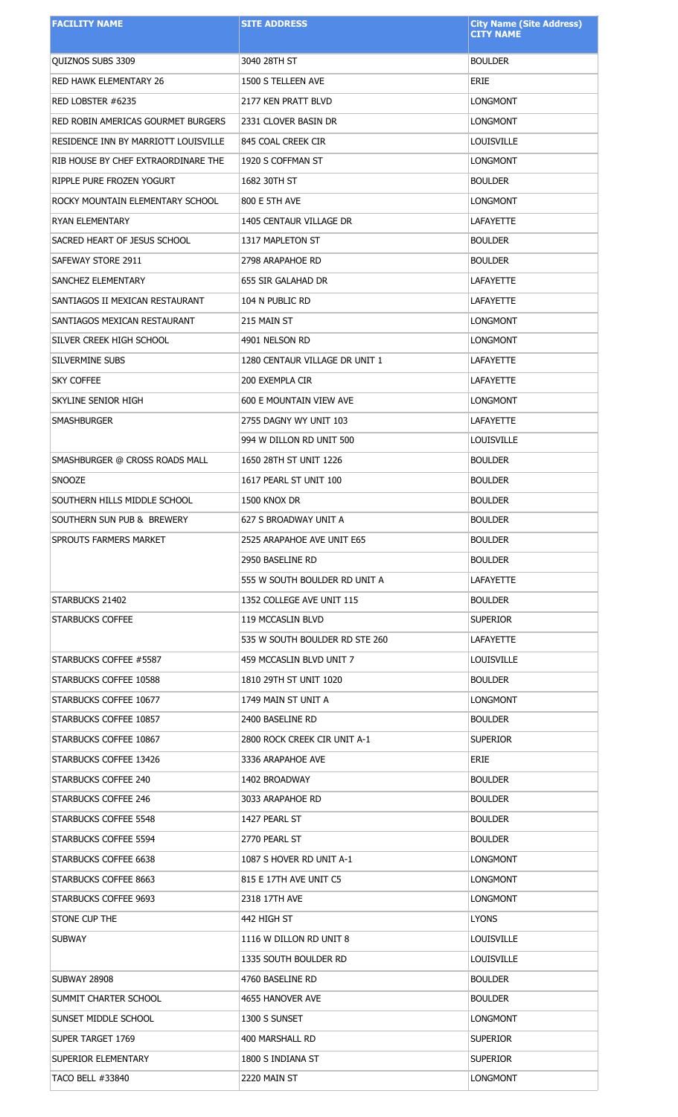| <b>FACILITY NAME</b>                 | <b>SITE ADDRESS</b>            | <b>City Name (Site Address)</b><br><b>CITY NAME</b> |
|--------------------------------------|--------------------------------|-----------------------------------------------------|
|                                      |                                |                                                     |
| QUIZNOS SUBS 3309                    | 3040 28TH ST                   | <b>BOULDER</b>                                      |
| RED HAWK ELEMENTARY 26               | 1500 S TELLEEN AVE             | <b>ERIE</b>                                         |
| RED LOBSTER #6235                    | 2177 KEN PRATT BLVD            | <b>LONGMONT</b>                                     |
| RED ROBIN AMERICAS GOURMET BURGERS   | 2331 CLOVER BASIN DR           | <b>LONGMONT</b>                                     |
| RESIDENCE INN BY MARRIOTT LOUISVILLE | 845 COAL CREEK CIR             | LOUISVILLE                                          |
| RIB HOUSE BY CHEF EXTRAORDINARE THE  | 1920 S COFFMAN ST              | <b>LONGMONT</b>                                     |
| RIPPLE PURE FROZEN YOGURT            | 1682 30TH ST                   | <b>BOULDER</b>                                      |
| ROCKY MOUNTAIN ELEMENTARY SCHOOL     | 800 E 5TH AVE                  | <b>LONGMONT</b>                                     |
| <b>RYAN ELEMENTARY</b>               | 1405 CENTAUR VILLAGE DR        | <b>LAFAYETTE</b>                                    |
| SACRED HEART OF JESUS SCHOOL         | 1317 MAPLETON ST               | <b>BOULDER</b>                                      |
| SAFEWAY STORE 2911                   | 2798 ARAPAHOE RD               | <b>BOULDER</b>                                      |
| SANCHEZ ELEMENTARY                   | 655 SIR GALAHAD DR             | <b>LAFAYETTE</b>                                    |
| SANTIAGOS II MEXICAN RESTAURANT      | 104 N PUBLIC RD                | <b>LAFAYETTE</b>                                    |
| SANTIAGOS MEXICAN RESTAURANT         | 215 MAIN ST                    | <b>LONGMONT</b>                                     |
| SILVER CREEK HIGH SCHOOL             | 4901 NELSON RD                 | <b>LONGMONT</b>                                     |
| SILVERMINE SUBS                      | 1280 CENTAUR VILLAGE DR UNIT 1 | <b>LAFAYETTE</b>                                    |
| <b>SKY COFFEE</b>                    | 200 EXEMPLA CIR                | <b>LAFAYETTE</b>                                    |
| SKYLINE SENIOR HIGH                  | 600 E MOUNTAIN VIEW AVE        | <b>LONGMONT</b>                                     |
| <b>SMASHBURGER</b>                   | 2755 DAGNY WY UNIT 103         | <b>LAFAYETTE</b>                                    |
|                                      | 994 W DILLON RD UNIT 500       | <b>LOUISVILLE</b>                                   |
| SMASHBURGER @ CROSS ROADS MALL       | 1650 28TH ST UNIT 1226         | <b>BOULDER</b>                                      |
| <b>SNOOZE</b>                        | 1617 PEARL ST UNIT 100         | <b>BOULDER</b>                                      |
| SOUTHERN HILLS MIDDLE SCHOOL         | 1500 KNOX DR                   | <b>BOULDER</b>                                      |
| SOUTHERN SUN PUB & BREWERY           | 627 S BROADWAY UNIT A          | <b>BOULDER</b>                                      |
| SPROUTS FARMERS MARKET               | 2525 ARAPAHOE AVE UNIT E65     | <b>BOULDER</b>                                      |
|                                      | 2950 BASELINE RD               | <b>BOULDER</b>                                      |
|                                      | 555 W SOUTH BOULDER RD UNIT A  | <b>LAFAYETTE</b>                                    |
| STARBUCKS 21402                      | 1352 COLLEGE AVE UNIT 115      | <b>BOULDER</b>                                      |
| <b>STARBUCKS COFFEE</b>              | 119 MCCASLIN BLVD              | <b>SUPERIOR</b>                                     |
|                                      | 535 W SOUTH BOULDER RD STE 260 | <b>LAFAYETTE</b>                                    |
| STARBUCKS COFFEE #5587               | 459 MCCASLIN BLVD UNIT 7       | <b>LOUISVILLE</b>                                   |
| STARBUCKS COFFEE 10588               | 1810 29TH ST UNIT 1020         | <b>BOULDER</b>                                      |
| STARBUCKS COFFEE 10677               | 1749 MAIN ST UNIT A            | LONGMONT                                            |
| STARBUCKS COFFEE 10857               | 2400 BASELINE RD               | <b>BOULDER</b>                                      |
| STARBUCKS COFFEE 10867               | 2800 ROCK CREEK CIR UNIT A-1   | <b>SUPERIOR</b>                                     |
| STARBUCKS COFFEE 13426               | 3336 ARAPAHOE AVE              | <b>ERIE</b>                                         |
| STARBUCKS COFFEE 240                 | 1402 BROADWAY                  | <b>BOULDER</b>                                      |
| STARBUCKS COFFEE 246                 | 3033 ARAPAHOE RD               | <b>BOULDER</b>                                      |
| STARBUCKS COFFEE 5548                | 1427 PEARL ST                  | <b>BOULDER</b>                                      |
| STARBUCKS COFFEE 5594                | 2770 PEARL ST                  | <b>BOULDER</b>                                      |
| STARBUCKS COFFEE 6638                | 1087 S HOVER RD UNIT A-1       | LONGMONT                                            |
| STARBUCKS COFFEE 8663                | 815 E 17TH AVE UNIT C5         | LONGMONT                                            |
| STARBUCKS COFFEE 9693                | 2318 17TH AVE                  | LONGMONT                                            |
| STONE CUP THE                        | 442 HIGH ST                    | <b>LYONS</b>                                        |
| <b>SUBWAY</b>                        | 1116 W DILLON RD UNIT 8        | <b>LOUISVILLE</b>                                   |
|                                      | 1335 SOUTH BOULDER RD          | LOUISVILLE                                          |
| <b>SUBWAY 28908</b>                  | 4760 BASELINE RD               | <b>BOULDER</b>                                      |
| SUMMIT CHARTER SCHOOL                | 4655 HANOVER AVE               | <b>BOULDER</b>                                      |
| SUNSET MIDDLE SCHOOL                 | 1300 S SUNSET                  | <b>LONGMONT</b>                                     |
| SUPER TARGET 1769                    | 400 MARSHALL RD                | <b>SUPERIOR</b>                                     |
| SUPERIOR ELEMENTARY                  | 1800 S INDIANA ST              | <b>SUPERIOR</b>                                     |
| <b>TACO BELL #33840</b>              | 2220 MAIN ST                   | <b>LONGMONT</b>                                     |
|                                      |                                |                                                     |